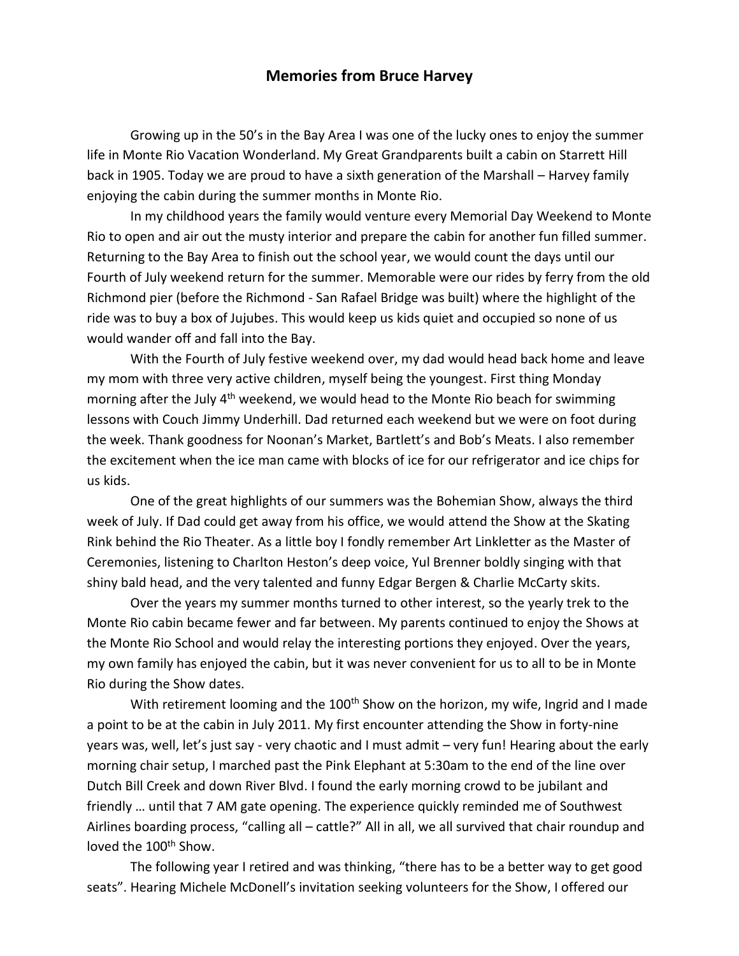## **Memories from Bruce Harvey**

Growing up in the 50's in the Bay Area I was one of the lucky ones to enjoy the summer life in Monte Rio Vacation Wonderland. My Great Grandparents built a cabin on Starrett Hill back in 1905. Today we are proud to have a sixth generation of the Marshall – Harvey family enjoying the cabin during the summer months in Monte Rio.

In my childhood years the family would venture every Memorial Day Weekend to Monte Rio to open and air out the musty interior and prepare the cabin for another fun filled summer. Returning to the Bay Area to finish out the school year, we would count the days until our Fourth of July weekend return for the summer. Memorable were our rides by ferry from the old Richmond pier (before the Richmond - San Rafael Bridge was built) where the highlight of the ride was to buy a box of Jujubes. This would keep us kids quiet and occupied so none of us would wander off and fall into the Bay.

With the Fourth of July festive weekend over, my dad would head back home and leave my mom with three very active children, myself being the youngest. First thing Monday morning after the July  $4<sup>th</sup>$  weekend, we would head to the Monte Rio beach for swimming lessons with Couch Jimmy Underhill. Dad returned each weekend but we were on foot during the week. Thank goodness for Noonan's Market, Bartlett's and Bob's Meats. I also remember the excitement when the ice man came with blocks of ice for our refrigerator and ice chips for us kids.

One of the great highlights of our summers was the Bohemian Show, always the third week of July. If Dad could get away from his office, we would attend the Show at the Skating Rink behind the Rio Theater. As a little boy I fondly remember Art Linkletter as the Master of Ceremonies, listening to Charlton Heston's deep voice, Yul Brenner boldly singing with that shiny bald head, and the very talented and funny Edgar Bergen & Charlie McCarty skits.

Over the years my summer months turned to other interest, so the yearly trek to the Monte Rio cabin became fewer and far between. My parents continued to enjoy the Shows at the Monte Rio School and would relay the interesting portions they enjoyed. Over the years, my own family has enjoyed the cabin, but it was never convenient for us to all to be in Monte Rio during the Show dates.

With retirement looming and the  $100<sup>th</sup>$  Show on the horizon, my wife, Ingrid and I made a point to be at the cabin in July 2011. My first encounter attending the Show in forty-nine years was, well, let's just say - very chaotic and I must admit – very fun! Hearing about the early morning chair setup, I marched past the Pink Elephant at 5:30am to the end of the line over Dutch Bill Creek and down River Blvd. I found the early morning crowd to be jubilant and friendly … until that 7 AM gate opening. The experience quickly reminded me of Southwest Airlines boarding process, "calling all – cattle?" All in all, we all survived that chair roundup and loved the 100<sup>th</sup> Show.

The following year I retired and was thinking, "there has to be a better way to get good seats". Hearing Michele McDonell's invitation seeking volunteers for the Show, I offered our